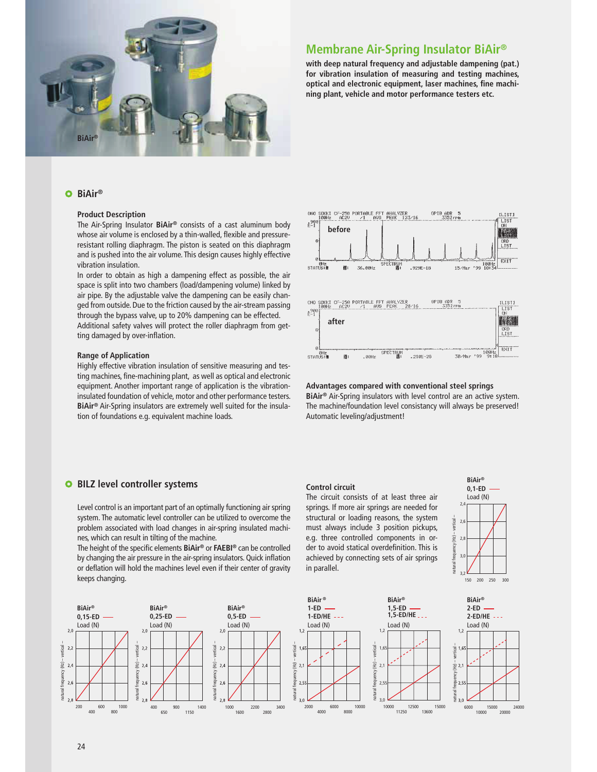

# **Membrane Air-Spring Insulator BiAir®**

**with deep natural frequency and adjustable dampening (pat.) for vibration insulation of measuring and testing machines, optical and electronic equipment, laser machines, fine machining plant, vehicle and motor performance testers etc.**

## **BiAir®**

## **Product Description**

The Air-Spring Insulator **BiAir®** consists of a cast aluminum body whose air volume is enclosed by a thin-walled, flexible and pressureresistant rolling diaphragm. The piston is seated on this diaphragm and is pushed into the air volume. This design causes highly effective vibration insulation.

In order to obtain as high a dampening effect as possible, the air space is split into two chambers (load/dampening volume) linked by air pipe. By the adjustable valve the dampening can be easily changed from outside. Due to the friction caused by the air-stream passing through the bypass valve, up to 20% dampening can be effected.

Additional safety valves will protect the roller diaphragm from getting damaged by over-inflation.

#### **Range of Application**

Highly effective vibration insulation of sensitive measuring and testing machines, fine-machining plant, as well as optical and electronic equipment. Another important range of application is the vibrationinsulated foundation of vehicle, motor and other performance testers. **BiAir®** Air-Spring insulators are extremely well suited for the insulation of foundations e.g. equivalent machine loads.



**Advantages compared with conventional steel springs BiAir®** Air-Spring insulators with level control are an active system. The machine/foundation level consistancy will always be preserved! Automatic leveling/adjustment!

> **BiAir® 0,1-ED**  Load (N)  $\sim$ 2,6 2,8 3,0 3,2

natural frequency (Hz) – vertical –

150 200 250 300

## **BILZ level controller systems**

Level control is an important part of an optimally functioning air spring system. The automatic level controller can be utilized to overcome the problem associated with load changes in air-spring insulated machines, which can result in tilting of the machine.

The height of the specific elements **BiAir®** or **FAEBI®** can be controlled by changing the air pressure in the air-spring insulators. Quick inflation or deflation will hold the machines level even if their center of gravity keeps changing.

## **Control circuit**

The circuit consists of at least three air springs. If more air springs are needed for structural or loading reasons, the system must always include 3 position pickups, e.g. three controlled components in order to avoid statical overdefinition. This is achieved by connecting sets of air springs in parallel.



natural frequency (Hz) – vertical –

frequency  $2.6$ 

atural

 $(E)$ 

ertical- $2,$ 

 $2.0$ 

 $2.4$ 

 $2.8$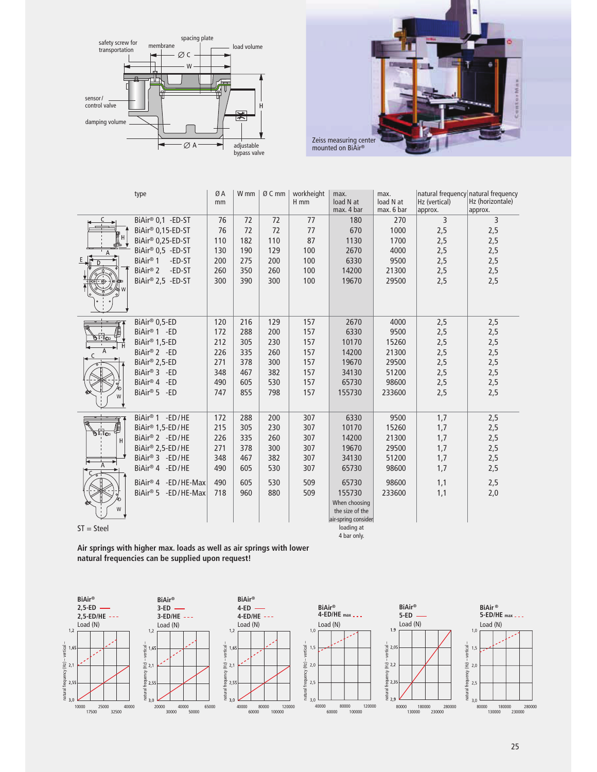



|                                 | type                                                                                                                                                                                  | ØA<br>mm                                             | W <sub>mm</sub>                                      | Ø C mm                                               | workheight<br>$H$ mm                                 | max.<br>load N at<br>max. 4 bar                                                                                                               | max.<br>load N at<br>max. 6 bar                                      | Hz (vertical)<br>approx.                             | natural frequency natural frequency<br>Hz (horizontale)<br>approx. |
|---------------------------------|---------------------------------------------------------------------------------------------------------------------------------------------------------------------------------------|------------------------------------------------------|------------------------------------------------------|------------------------------------------------------|------------------------------------------------------|-----------------------------------------------------------------------------------------------------------------------------------------------|----------------------------------------------------------------------|------------------------------------------------------|--------------------------------------------------------------------|
| α†⊞о                            | BiAir <sup>®</sup> 0,1 -ED-ST<br>BiAir® 0,15-ED-ST<br>BiAir® 0,25-ED-ST<br>BiAir® 0,5 -ED-ST<br>BiAir <sup>®</sup> 1<br>-ED-ST<br>BiAir <sup>®</sup> 2<br>-ED-ST<br>BiAir® 2,5 -ED-ST | 76<br>76<br>110<br>130<br>200<br>260<br>300          | 72<br>72<br>182<br>190<br>275<br>350<br>390          | 72<br>72<br>110<br>129<br>200<br>260<br>300          | 77<br>77<br>87<br>100<br>100<br>100<br>100           | 180<br>670<br>1130<br>2670<br>6330<br>14200<br>19670                                                                                          | 270<br>1000<br>1700<br>4000<br>9500<br>21300<br>29500                | 3<br>2,5<br>2,5<br>2,5<br>2,5<br>2,5<br>2,5          | 3<br>2,5<br>2,5<br>2,5<br>2,5<br>2,5<br>2,5                        |
| ים⊍<br>W                        | BiAir® 0,5-ED<br>BiAir <sup>®</sup> 1 -ED<br>BiAir <sup>®</sup> 1,5-ED<br>BiAir <sup>®</sup> 2 - ED<br>BiAir® 2,5-ED<br>BiAir® 3 - ED<br>BiAir® 4 -ED<br>BiAir® 5 - ED                | 120<br>172<br>212<br>226<br>271<br>348<br>490<br>747 | 216<br>288<br>305<br>335<br>378<br>467<br>605<br>855 | 129<br>200<br>230<br>260<br>300<br>382<br>530<br>798 | 157<br>157<br>157<br>157<br>157<br>157<br>157<br>157 | 2670<br>6330<br>10170<br>14200<br>19670<br>34130<br>65730<br>155730                                                                           | 4000<br>9500<br>15260<br>21300<br>29500<br>51200<br>98600<br>233600  | 2,5<br>2,5<br>2,5<br>2,5<br>2,5<br>2,5<br>2,5<br>2,5 | 2,5<br>2,5<br>2,5<br>2,5<br>2,5<br>2,5<br>2,5<br>2,5               |
| ბ⊪სი∍<br>A<br>W<br>$ST = Steel$ | BiAir <sup>®</sup> 1 -ED/HE<br>BiAir® 1,5-ED/HE<br>BiAir® 2 -ED/HE<br>BiAir® 2,5-ED/HE<br>BiAir® 3 -ED/HE<br>BiAir® 4 -ED/HE<br>BiAir® 4 -ED/HE-Max<br>BiAir® 5 -ED/HE-Max            | 172<br>215<br>226<br>271<br>348<br>490<br>490<br>718 | 288<br>305<br>335<br>378<br>467<br>605<br>605<br>960 | 200<br>230<br>260<br>300<br>382<br>530<br>530<br>880 | 307<br>307<br>307<br>307<br>307<br>307<br>509<br>509 | 6330<br>10170<br>14200<br>19670<br>34130<br>65730<br>65730<br>155730<br>When choosing<br>the size of the<br>air-spring consider<br>loading at | 9500<br>15260<br>21300<br>29500<br>51200<br>98600<br>98600<br>233600 | 1,7<br>1,7<br>1,7<br>1,7<br>1,7<br>1,7<br>1,1<br>1,1 | 2,5<br>2,5<br>2,5<br>2,5<br>2,5<br>2,5<br>2,5<br>2,0               |

4 bar only.

**Air springs with higher max. loads as well as air springs with lower natural frequencies can be supplied upon request!**